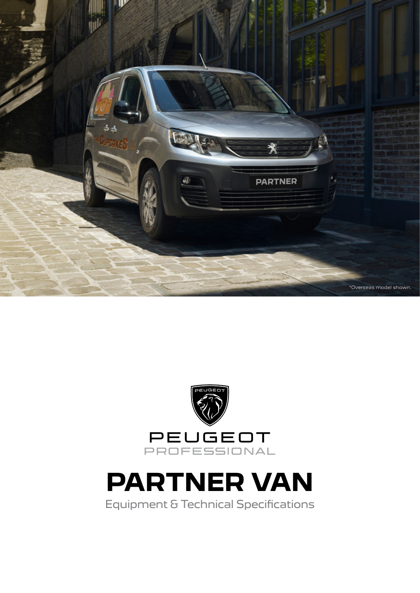

![](_page_0_Picture_1.jpeg)

Equipment & Technical Specifications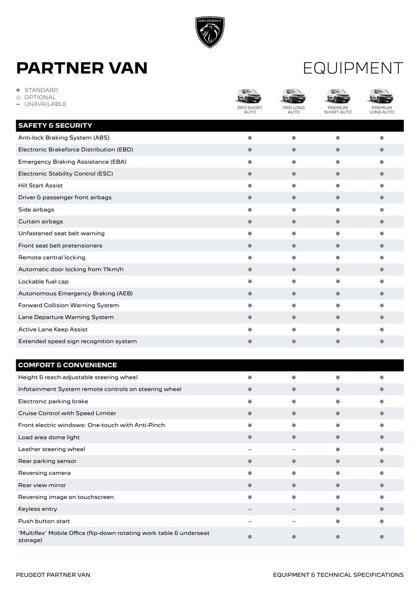![](_page_1_Picture_0.jpeg)

#### EQUIPMENT

| STANDARD<br>$\bullet$<br><b>OPTIONAL</b><br>Ω<br>UNAVAILABLE | <b>PRO SHORT</b><br><b>AUTO</b> | PRO LONG<br><b>AUTO</b> | PREMIUM<br>SHORT AUTO | PREMIUN<br>LONG AUTO |
|--------------------------------------------------------------|---------------------------------|-------------------------|-----------------------|----------------------|
| <b>SAFETY &amp; SECURITY</b>                                 |                                 |                         |                       |                      |
| Anti-lock Braking System (ABS)                               | $\bullet$                       | $\bullet$               | $\bullet$             | $\bullet$            |
| Electronic Brakeforce Distribution (EBD)                     | $\bullet$                       | $\bullet$               | ●                     | $\bullet$            |
| Emergency Braking Assistance (EBA)                           | $\bullet$                       | $\bullet$               | $\bullet$             | $\bullet$            |
| Electronic Stability Control (ESC)                           | $\bullet$                       | $\bullet$               | $\bullet$             | -                    |
| <b>Hill Start Assist</b>                                     | $\bullet$                       | $\bullet$               | $\bullet$             | ●                    |
| Driver & passenger front airbags                             | $\bullet$                       | $\bullet$               | $\bullet$             | -                    |
| Side airbags                                                 |                                 | $\bullet$               |                       |                      |
| Curtain airbags                                              | $\bullet$                       | $\bullet$               | $\bullet$             | $\bullet$            |
| Unfastened seat belt warning                                 | $\bullet$                       | $\bullet$               | $\bullet$             | $\bullet$            |
| Front seat belt pretensioners                                | $\bullet$                       | $\bullet$               | $\bullet$             | $\bullet$            |
| Remote central locking                                       | $\bullet$                       | $\bullet$               |                       | ●                    |
| Automatic door locking from 11km/h                           | $\bullet$                       | $\bullet$               | $\bullet$             | $\bullet$            |
| Lockable fuel cap                                            | $\bullet$                       | $\bullet$               | $\bullet$             |                      |
| Autonomous Emergency Braking (AEB)                           | $\bullet$                       | $\bullet$               | $\bullet$             | $\bullet$            |
| Forward Collision Warning System                             | $\bullet$                       | $\bullet$               | $\bullet$             | $\bullet$            |
| Lane Departure Warning System                                | $\bullet$                       | $\bullet$               | $\bullet$             | $\bullet$            |
| Active Lane Keep Assist                                      |                                 | ٠                       |                       |                      |
| Extended speed sign recognition system                       | $\bullet$                       | $\bullet$               | $\bullet$             | $\bullet$            |
| <b>COMFORT &amp; CONVENIENCE</b>                             |                                 |                         |                       |                      |
| Height & reach adjustable steering wheel                     |                                 | $\bullet$               |                       |                      |
| Infotainment System remote controls on steering wheel        | $\bullet$                       | $\bullet$               | $\bullet$             | $\bullet$            |
| Electronic parking brake                                     |                                 |                         |                       |                      |
| Cruise Control with Speed Limiter                            | $\bullet$                       | $\bullet$               | $\bullet$             | $\bullet$            |
| Front electric windows: One-touch with Anti-Pinch            | 0                               | $\bullet$               | $\bullet$             | $\bullet$            |
| Load area dome light                                         | $\bullet$                       | $\bullet$               | $\bullet$             | $\bullet$            |
| Leather steering wheel                                       |                                 |                         | $\bullet$             | $\bullet$            |
| Rear parking sensor                                          | $\bullet$                       | $\bullet$               | $\bullet$             | $\bullet$            |
| Reversing camera                                             |                                 | $\bullet$               | $\bullet$             | $\bullet$            |
| Rear view mirror                                             | $\bullet$                       | $\bullet$               | $\bullet$             | $\bullet$            |
| Reversing image on touchscreen                               | $\bullet$                       | $\bullet$               | $\bullet$             | $\bullet$            |

'Multiflex' Mobile Office (flip-down rotating work table & underseat **in the community of the community of the co**<br>storage)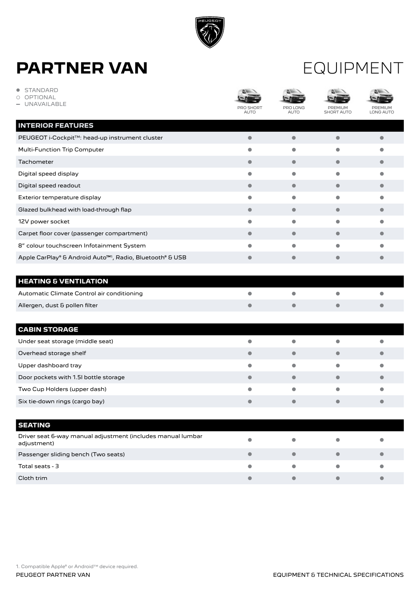![](_page_2_Picture_0.jpeg)

#### EQUIPMENT

| <b>STANDARD</b><br><b>OPTIONAL</b><br>◯<br><b>UNAVAILABLE</b>              | PRO SHORT<br>AUTO | PRO LONG<br><b>AUTO</b> | PREMIUM<br><b>SHORT AUTO</b> | ۵N<br>PREMIUN<br>LONG AUTO |
|----------------------------------------------------------------------------|-------------------|-------------------------|------------------------------|----------------------------|
| <b>INTERIOR FEATURES</b>                                                   |                   |                         |                              |                            |
| PEUGEOT i-Cockpit™: head-up instrument cluster                             | $\bullet$         | $\bullet$               | $\bullet$                    | 0                          |
| Multi-Function Trip Computer                                               | $\bullet$         | $\bullet$               | $\bullet$                    |                            |
| Tachometer                                                                 | $\bullet$         | $\bullet$               | $\bullet$                    |                            |
| Digital speed display                                                      | $\bullet$         | $\bullet$               | $\bullet$                    | $\bullet$                  |
| Digital speed readout                                                      | $\bullet$         | $\bullet$               | $\bullet$                    | 0                          |
| Exterior temperature display                                               | $\bullet$         | $\bullet$               | $\bullet$                    | o                          |
| Glazed bulkhead with load-through flap                                     | $\bullet$         | $\bullet$               | 0                            |                            |
| 12V power socket                                                           | $\bullet$         | $\bullet$               | $\bullet$                    | 0                          |
| Carpet floor cover (passenger compartment)                                 | $\bullet$         | $\bullet$               | $\bullet$                    |                            |
| 8" colour touchscreen Infotainment System                                  | $\bullet$         | $\bullet$               | $\bullet$                    |                            |
| Apple CarPlay® & Android Auto <sup>™1</sup> , Radio, Bluetooth® & USB      | $\bullet$         | $\bullet$               | $\bullet$                    | ٠                          |
| <b>HEATING &amp; VENTILATION</b>                                           |                   |                         |                              |                            |
| Automatic Climate Control air conditioning                                 | ●                 | $\bullet$               |                              |                            |
| Allergen, dust & pollen filter                                             | $\bullet$         | $\bullet$               | $\bullet$                    |                            |
| <b>CABIN STORAGE</b>                                                       |                   |                         |                              |                            |
| Under seat storage (middle seat)                                           |                   |                         |                              |                            |
| Overhead storage shelf                                                     | $\bullet$         | 0                       |                              |                            |
| Upper dashboard tray                                                       | $\bullet$         | $\bullet$               | $\bullet$                    | ٠                          |
| Door pockets with 1.5I bottle storage                                      | $\bullet$         | $\bullet$               | $\bullet$                    |                            |
| Two Cup Holders (upper dash)                                               | 0                 | $\bullet$               |                              |                            |
| Six tie-down rings (cargo bay)                                             |                   |                         |                              |                            |
|                                                                            |                   |                         |                              |                            |
| <b>SEATING</b>                                                             |                   |                         |                              |                            |
| Driver seat 6-way manual adjustment (includes manual lumbar<br>adjustment) |                   |                         |                              |                            |
| Passenger sliding bench (Two seats)                                        | $\bullet$         | $\bullet$               | $\bullet$                    |                            |
| Total seats - 3                                                            |                   | $\bullet$               | 0                            |                            |
| Cloth trim                                                                 | $\bullet$         | $\bullet$               | $\bullet$                    | $\bullet$                  |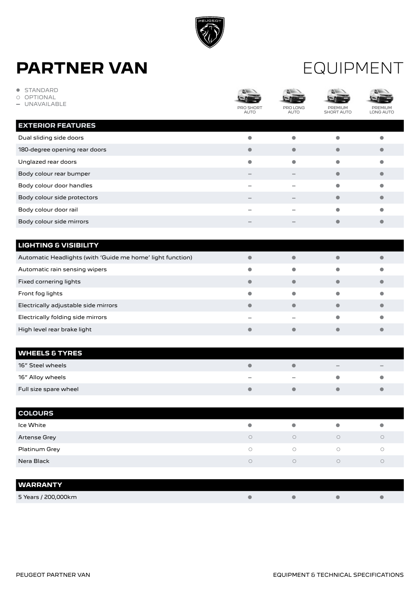![](_page_3_Picture_0.jpeg)

**• STANDARD** 

#### EQUIPMENT

| <b>STANDARD</b><br>$\bullet$<br>OPTIONAL<br>∩<br>UNAVAILABLE | ۵w<br>AUTO | PRO LONG<br><b>AUTO</b> | PREMIUM<br><b>SHORT AUTO</b> | PREMIl<br>LONG AUTO     |
|--------------------------------------------------------------|------------|-------------------------|------------------------------|-------------------------|
| <b>EXTERIOR FEATURES</b>                                     |            |                         |                              |                         |
| Dual sliding side doors                                      | $\bullet$  | $\bullet$               | $\bullet$                    | $\bullet$               |
| 180-degree opening rear doors                                | $\bullet$  | $\bullet$               | $\bullet$                    | $\bullet$               |
| Unglazed rear doors                                          | $\bullet$  | $\bullet$               | $\bullet$                    | $\bullet$               |
| Body colour rear bumper                                      |            |                         | $\bullet$                    | $\bullet$               |
| Body colour door handles                                     | -          | ۰                       | $\bullet$                    | $\bullet$               |
| Body colour side protectors                                  |            | -                       | $\bullet$                    | $\bullet$               |
| Body colour door rail                                        |            |                         | $\bullet$                    | $\bullet$               |
| Body colour side mirrors                                     |            |                         | $\bullet$                    | $\bullet$               |
|                                                              |            |                         |                              |                         |
| <b>LIGHTING &amp; VISIBILITY</b>                             |            |                         |                              |                         |
| Automatic Headlights (with 'Guide me home' light function)   | $\bullet$  | $\bullet$               | $\bullet$                    | $\bullet$               |
| Automatic rain sensing wipers                                | $\bullet$  | $\bullet$               |                              | $\bullet$               |
| Fixed cornering lights                                       | $\bullet$  | $\bullet$               | $\bullet$                    | $\bullet$               |
| Front fog lights                                             | $\bullet$  | $\bullet$               | $\bullet$                    | $\bullet$               |
| Electrically adjustable side mirrors                         | $\bullet$  | $\bullet$               | $\bullet$                    | $\bullet$               |
| Electrically folding side mirrors                            |            |                         | $\bullet$                    | $\bullet$               |
| High level rear brake light                                  | $\bullet$  | $\bullet$               | $\bullet$                    | $\bullet$               |
|                                                              |            |                         |                              |                         |
| <b>WHEELS &amp; TYRES</b>                                    |            |                         |                              |                         |
| 16" Steel wheels                                             | $\bullet$  | $\bullet$               |                              |                         |
| 16" Alloy wheels                                             |            |                         | $\bullet$                    | $\bullet$               |
| Full size spare wheel                                        | $\bullet$  | $\bullet$               | $\bullet$                    | $\bullet$               |
|                                                              |            |                         |                              |                         |
| <b>COLOURS</b>                                               |            |                         |                              |                         |
| Ice White                                                    | $\bullet$  | $\bullet$               | $\bullet$                    | $\bullet$               |
| Artense Grey                                                 | $\bigcirc$ | $\bigcirc$              | $\bigcirc$                   | $\bigcirc$              |
| Platinum Grey                                                | $\bigcirc$ | $\bigcirc$              | $\bigcirc$                   | $\bigcirc$              |
| Nera Black                                                   | $\bigcirc$ | $\bigcirc$              | $\bigcirc$                   | $\bigcirc$              |
|                                                              |            |                         |                              |                         |
| <b>WARRANTY</b>                                              |            |                         |                              |                         |
| 5 Years / 200,000km                                          | $\bullet$  | $\bullet$               | $\bullet$                    | $\qquad \qquad \bullet$ |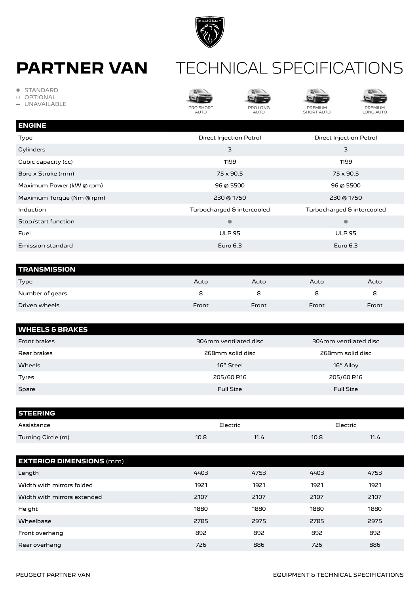![](_page_4_Picture_0.jpeg)

#### **PARTNER VAN** TECHNICAL SPECIFICATIONS

- **STANDARD**
- OPTIONAL
- **-** UNAVAILABLE

![](_page_4_Picture_6.jpeg)

![](_page_4_Picture_7.jpeg)

 $\sim$ 

![](_page_4_Picture_8.jpeg)

**ALL** 

![](_page_4_Picture_9.jpeg)

PREMIUM LONG AUTO

| <b>ENGINE</b>             |                            |                            |
|---------------------------|----------------------------|----------------------------|
| Type                      | Direct Injection Petrol    | Direct Injection Petrol    |
| Cylinders                 | 3                          | 3                          |
| Cubic capacity (cc)       | 1199                       | 1199                       |
| Bore x Stroke (mm)        | 75 x 90.5                  | 75 x 90.5                  |
| Maximum Power (kW @ rpm)  | 96 @ 5500                  | 96 @ 5500                  |
| Maximum Torque (Nm @ rpm) | 230 @ 1750                 | 230 @ 1750                 |
| Induction                 | Turbocharged & intercooled | Turbocharged & intercooled |
| Stop/start function       | $\bullet$                  | $\bullet$                  |
| Fuel                      | <b>ULP 95</b>              | <b>ULP 95</b>              |
| <b>Emission standard</b>  | Euro $6.3$                 | Euro $6.3$                 |
|                           |                            |                            |

| <b>TRANSMISSION</b> |       |       |       |       |
|---------------------|-------|-------|-------|-------|
| Type                | Auto  | Auto  | Auto  | Auto  |
| Number of gears     | 8     |       | 8     | 8     |
| Driven wheels       | Front | Front | Front | Front |

| <b>WHEELS &amp; BRAKES</b> |                       |                       |
|----------------------------|-----------------------|-----------------------|
| Front brakes               | 304mm ventilated disc | 304mm ventilated disc |
| Rear brakes                | 268mm solid disc      | 268mm solid disc      |
| Wheels                     | 16" Steel             | 16" Alloy             |
| Tyres                      | 205/60 R16            | 205/60 R16            |
| Spare                      | <b>Full Size</b>      | <b>Full Size</b>      |

| <b>STEERING</b>    |      |          |      |          |
|--------------------|------|----------|------|----------|
| Assistance         |      | Electric |      | Electric |
| Turning Circle (m) | 10.8 | 11.4     | 10.8 | 11.4     |

| <b>EXTERIOR DIMENSIONS (mm)</b> |      |      |      |      |
|---------------------------------|------|------|------|------|
| Length                          | 4403 | 4753 | 4403 | 4753 |
| Width with mirrors folded       | 1921 | 1921 | 1921 | 1921 |
| Width with mirrors extended     | 2107 | 2107 | 2107 | 2107 |
| Height                          | 1880 | 1880 | 1880 | 1880 |
| Wheelbase                       | 2785 | 2975 | 2785 | 2975 |
| Front overhang                  | 892  | 892  | 892  | 892  |
| Rear overhang                   | 726  | 886  | 726  | 886  |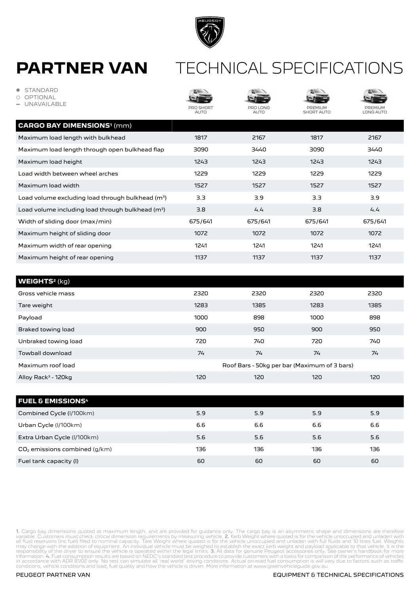![](_page_5_Picture_0.jpeg)

#### TECHNICAL SPECIFICATIONS

| <b>STANDARD</b><br><b>OPTIONAL</b><br><b>UNAVAILABLE</b>      | PRO SHORT<br><b>AUTO</b> | PRO LONG<br><b>AUTO</b>                      | PREMIUM<br><b>SHORT AUTO</b> | PREMIUM<br><b>LONG AUTO</b> |
|---------------------------------------------------------------|--------------------------|----------------------------------------------|------------------------------|-----------------------------|
| <b>CARGO BAY DIMENSIONS<sup>1</sup>(mm)</b>                   |                          |                                              |                              |                             |
| Maximum load length with bulkhead                             | 1817                     | 2167                                         | 1817                         | 2167                        |
| Maximum load length through open bulkhead flap                | 3090                     | 3440                                         | 3090                         | 3440                        |
| Maximum load height                                           | 1243                     | 1243                                         | 1243                         | 1243                        |
| Load width between wheel arches                               | 1229                     | 1229                                         | 1229                         | 1229                        |
| Maximum load width                                            | 1527                     | 1527                                         | 1527                         | 1527                        |
| Load volume excluding load through bulkhead (m <sup>3</sup> ) | 3.3                      | 3.9                                          | 3.3                          | 3.9                         |
| Load volume including load through bulkhead $(m^3)$           | 3.8                      | 4.4                                          | 3.8                          | 4.4                         |
| Width of sliding door (max/min)                               | 675/641                  | 675/641                                      | 675/641                      | 675/641                     |
| Maximum height of sliding door                                | 1072                     | 1072                                         | 1072                         | 1072                        |
| Maximum width of rear opening                                 | 1241                     | 1241                                         | 1241                         | 1241                        |
| Maximum height of rear opening                                | 1137                     | 1137                                         | 1137                         | 1137                        |
|                                                               |                          |                                              |                              |                             |
| <b>WEIGHTS<sup>2</sup> (kg)</b>                               |                          |                                              |                              |                             |
| Gross vehicle mass                                            | 2320                     | 2320                                         | 2320                         | 2320                        |
| Tare weight                                                   | 1283                     | 1385                                         | 1283                         | 1385                        |
| Payload                                                       | 1000                     | 898                                          | 1000                         | 898                         |
| Braked towing load                                            | 900                      | 950                                          | 900                          | 950                         |
| Unbraked towing load                                          | 720                      | 740                                          | 720                          | 740                         |
| Towball download                                              | 74                       | 74                                           | 74                           | 74                          |
| Maximum roof load                                             |                          | Roof Bars - 50kg per bar (Maximum of 3 bars) |                              |                             |
| Alloy Rack <sup>3</sup> - 120kg                               | 120                      | 120                                          | 120                          | 120                         |
|                                                               |                          |                                              |                              |                             |
| <b>FUEL &amp; EMISSIONS<sup>4</sup></b>                       |                          |                                              |                              |                             |

| Combined Cycle (I/100km)        | 5.9 | 5.9 | 5.9 | 5.9 |
|---------------------------------|-----|-----|-----|-----|
| Urban Cycle (I/100km)           | 6.6 | 6.6 | 6.6 | 6.6 |
| Extra Urban Cycle (I/100km)     | 5.6 | 5.6 | 5.6 | 5.6 |
| $CO2$ emissions combined (g/km) | 136 | 136 | 136 | 136 |
| Fuel tank capacity (I)          | 60  | 60  | 60  | 60  |

1. Cargo bay dimensions quoted at maximum length, and are provided for guidance only. The cargo bay is an asymmetric shape and dimensions are therefore<br>variable. Customers must check critical dimension requirements by meas